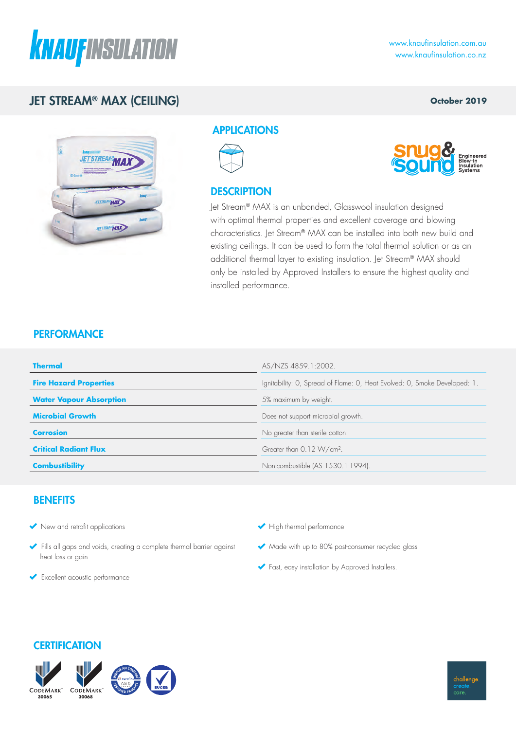

# JET STREAM® MAX (CEILING)

### **October 2019**



## APPLICATIONS



### **DESCRIPTION**



Jet Stream® MAX is an unbonded, Glasswool insulation designed with optimal thermal properties and excellent coverage and blowing characteristics. Jet Stream® MAX can be installed into both new build and existing ceilings. It can be used to form the total thermal solution or as an additional thermal layer to existing insulation. Jet Stream® MAX should only be installed by Approved Installers to ensure the highest quality and installed performance.

## **PERFORMANCE**

| <b>Thermal</b>                 | AS/NZS 4859.1:2002.                                                       |  |  |
|--------------------------------|---------------------------------------------------------------------------|--|--|
| <b>Fire Hazard Properties</b>  | Ignitability: O, Spread of Flame: O, Heat Evolved: O, Smoke Developed: 1. |  |  |
| <b>Water Vapour Absorption</b> | 5% maximum by weight.                                                     |  |  |
| <b>Microbial Growth</b>        | Does not support microbial growth.                                        |  |  |
| <b>Corrosion</b>               | No greater than sterile cotton.                                           |  |  |
| <b>Critical Radiant Flux</b>   | Greater than 0.12 W/cm <sup>2</sup> .                                     |  |  |
| <b>Combustibility</b>          | Non-combustible (AS 1530.1-1994).                                         |  |  |

### **BENEFITS**

- New and retrofit applications
- Fills all gaps and voids, creating a complete thermal barrier against heat loss or gain
- Excellent acoustic performance
- High thermal performance
- Made with up to 80% post-consumer recycled glass
- Fast, easy installation by Approved Installers.

## **CERTIFICATION**



challenge. care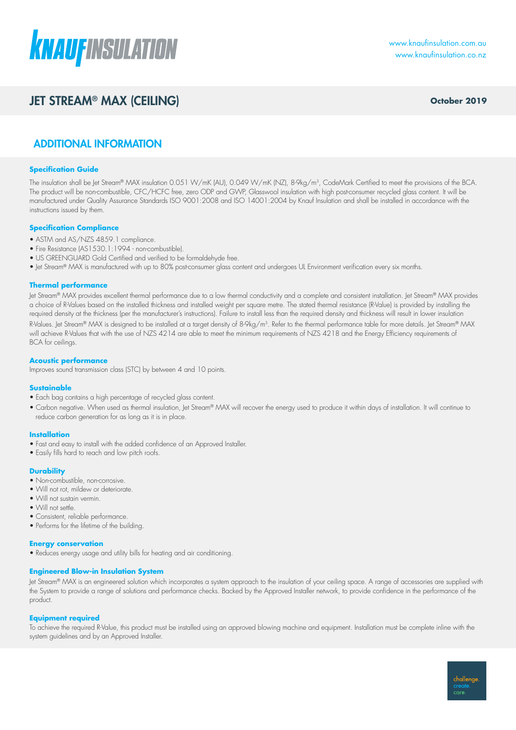

# JET STREAM® MAX (CEILING) **October 2019**

## ADDITIONAL INFORMATION

#### **Specification Guide**

The insulation shall be Jet Stream® MAX insulation 0.051 W/mK (AU), 0.049 W/mK (NZ), 8-9kg/m<sup>3</sup>, CodeMark Certified to meet the provisions of the BCA. The product will be non-combustible, CFC/HCFC free, zero ODP and GWP, Glasswool insulation with high post-consumer recycled glass content. It will be manufactured under Quality Assurance Standards ISO 9001:2008 and ISO 14001:2004 by Knauf Insulation and shall be installed in accordance with the instructions issued by them.

#### **Specification Compliance**

- ASTM and AS/NZS 4859.1 compliance.
- Fire Resistance (AS1530.1:1994 non-combustible).
- US GREENGUARD Gold Certified and verified to be formaldehyde free.
- Jet Stream® MAX is manufactured with up to 80% post-consumer glass content and undergoes UL Environment verification every six months.

#### **Thermal performance**

Jet Stream® MAX provides excellent thermal performance due to a low thermal conductivity and a complete and consistent installation. Jet Stream® MAX provides a choice of R-Values based on the installed thickness and installed weight per square metre. The stated thermal resistance (R-Value) is provided by installing the required density at the thickness (per the manufacturer's instructions). Failure to install less than the required density and thickness will result in lower insulation R-Values. Jet Stream® MAX is designed to be installed at a target density of 8-9kg/m<sup>3</sup>. Refer to the thermal performance table for more details. Jet Stream® MAX will achieve R-Values that with the use of NZS 4214 are able to meet the minimum requirements of NZS 4218 and the Energy Efficiency requirements of BCA for ceilings.

#### **Acoustic performance**

Improves sound transmission class (STC) by between 4 and 10 points.

#### **Sustainable**

- Each bag contains a high percentage of recycled glass content.
- Carbon negative. When used as thermal insulation, Jet Stream® MAX will recover the energy used to produce it within days of installation. It will continue to reduce carbon generation for as long as it is in place.

#### **Installation**

- Fast and easy to install with the added confidence of an Approved Installer.
- Easily fills hard to reach and low pitch roofs.

#### **Durability**

- Non-combustible, non-corrosive.
- Will not rot, mildew or deteriorate.
- Will not sustain vermin.
- Will not settle.
- Consistent, reliable performance.
- Performs for the lifetime of the building.

#### **Energy conservation**

• Reduces energy usage and utility bills for heating and air conditioning.

#### **Engineered Blow-in Insulation System**

Jet Stream® MAX is an engineered solution which incorporates a system approach to the insulation of your ceiling space. A range of accessories are supplied with the System to provide a range of solutions and performance checks. Backed by the Approved Installer network, to provide confidence in the performance of the product.

#### **Equipment required**

To achieve the required R-Value, this product must be installed using an approved blowing machine and equipment. Installation must be complete inline with the system guidelines and by an Approved Installer.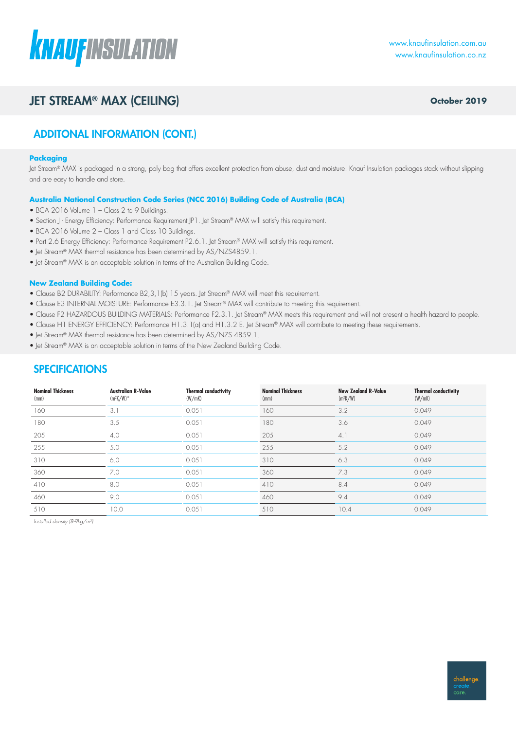

# JET STREAM® MAX (CEILING)

**October 2019**

# ADDITONAL INFORMATION (CONT.)

#### **Packaging**

Jet Stream® MAX is packaged in a strong, poly bag that offers excellent protection from abuse, dust and moisture. Knauf Insulation packages stack without slipping and are easy to handle and store.

### **Australia National Construction Code Series (NCC 2016) Building Code of Australia (BCA)**

- BCA 2016 Volume 1 Class 2 to 9 Buildings.
- Section J Energy Efficiency: Performance Requirement JP1. Jet Stream® MAX will satisfy this requirement.
- BCA 2016 Volume 2 Class 1 and Class 10 Buildings.
- Part 2.6 Energy Efficiency: Performance Requirement P2.6.1. Jet Stream® MAX will satisfy this requirement.
- Jet Stream® MAX thermal resistance has been determined by AS/NZS4859.1.
- Jet Stream® MAX is an acceptable solution in terms of the Australian Building Code.

### **New Zealand Building Code:**

- Clause B2 DURABILITY: Performance B2,3,1(b) 15 years. Jet Stream® MAX will meet this requirement
- Clause E3 INTERNAL MOISTURE: Performance E3.3.1. Jet Stream® MAX will contribute to meeting this requirement.
- Clause F2 HAZARDOUS BUILDING MATERIALS: Performance F2.3.1. Jet Stream® MAX meets this requirement and will not present a health hazard to people.
- Clause H1 ENERGY EFFICIENCY: Performance H1.3.1(a) and H1.3.2 E. Jet Stream® MAX will contribute to meeting these requirements.
- Jet Stream® MAX thermal resistance has been determined by AS/NZS 4859.1.
- Jet Stream® MAX is an acceptable solution in terms of the New Zealand Building Code.

## **SPECIFICATIONS**

| <b>Nominal Thickness</b><br>(mm) | <b>Australian R-Value</b><br>$(m^2K/W)^*$ | <b>Thermal conductivity</b><br>(W/mK) | <b>Nominal Thickness</b><br>(mm) | <b>New Zealand R-Value</b><br>$(m^2K/W)$ | <b>Thermal conductivity</b><br>(W/mK) |
|----------------------------------|-------------------------------------------|---------------------------------------|----------------------------------|------------------------------------------|---------------------------------------|
| 160                              | 3.1                                       | 0.051                                 | 160                              | 3.2                                      | 0.049                                 |
| 180                              | 3.5                                       | 0.051                                 | 180                              | 3.6                                      | 0.049                                 |
| 205                              | 4.0                                       | 0.051                                 | 205                              | 4.1                                      | 0.049                                 |
| 255                              | 5.0                                       | 0.051                                 | 255                              | 5.2                                      | 0.049                                 |
| 310                              | 6.0                                       | 0.051                                 | 310                              | 6.3                                      | 0.049                                 |
| 360                              | 7.0                                       | 0.051                                 | 360                              | 7.3                                      | 0.049                                 |
| 410                              | 8.0                                       | 0.051                                 | 410                              | 8.4                                      | 0.049                                 |
| 460                              | 9.0                                       | 0.051                                 | 460                              | 9.4                                      | 0.049                                 |
| 510                              | 10.0                                      | 0.051                                 | 510                              | 10.4                                     | 0.049                                 |

*Installed density (8-9kg/m3)*